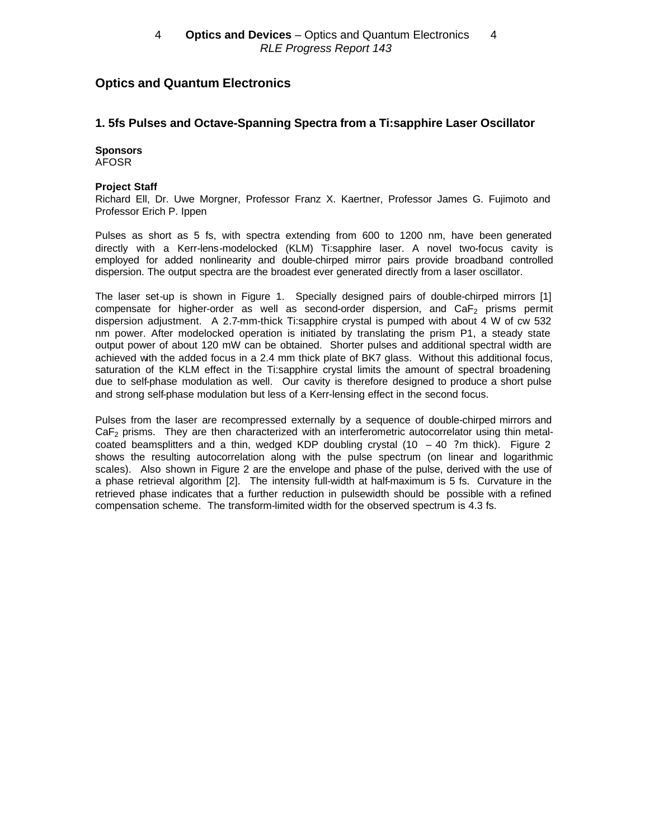# **Optics and Quantum Electronics**

## **1. 5fs Pulses and Octave-Spanning Spectra from a Ti:sapphire Laser Oscillator**

#### **Sponsors** AFOSR

#### **Project Staff**

Richard Ell, Dr. Uwe Morgner, Professor Franz X. Kaertner, Professor James G. Fujimoto and Professor Erich P. Ippen

Pulses as short as 5 fs, with spectra extending from 600 to 1200 nm, have been generated directly with a Kerr-lens-modelocked (KLM) Ti:sapphire laser. A novel two-focus cavity is employed for added nonlinearity and double-chirped mirror pairs provide broadband controlled dispersion. The output spectra are the broadest ever generated directly from a laser oscillator.

The laser set-up is shown in Figure 1. Specially designed pairs of double-chirped mirrors [1] compensate for higher-order as well as second-order dispersion, and  $CaF<sub>2</sub>$  prisms permit dispersion adjustment. A 2.7-mm-thick Ti:sapphire crystal is pumped with about 4 W of cw 532 nm power. After modelocked operation is initiated by translating the prism P1, a steady state output power of about 120 mW can be obtained. Shorter pulses and additional spectral width are achieved with the added focus in a 2.4 mm thick plate of BK7 glass. Without this additional focus, saturation of the KLM effect in the Ti:sapphire crystal limits the amount of spectral broadening due to self-phase modulation as well. Our cavity is therefore designed to produce a short pulse and strong self-phase modulation but less of a Kerr-lensing effect in the second focus.

Pulses from the laser are recompressed externally by a sequence of double-chirped mirrors and  $CaF<sub>2</sub>$  prisms. They are then characterized with an interferometric autocorrelator using thin metalcoated beamsplitters and a thin, wedged KDP doubling crystal  $(10 - 40)$  ?m thick). Figure 2 shows the resulting autocorrelation along with the pulse spectrum (on linear and logarithmic scales). Also shown in Figure 2 are the envelope and phase of the pulse, derived with the use of a phase retrieval algorithm [2]. The intensity full-width at half-maximum is 5 fs. Curvature in the retrieved phase indicates that a further reduction in pulsewidth should be possible with a refined compensation scheme. The transform-limited width for the observed spectrum is 4.3 fs.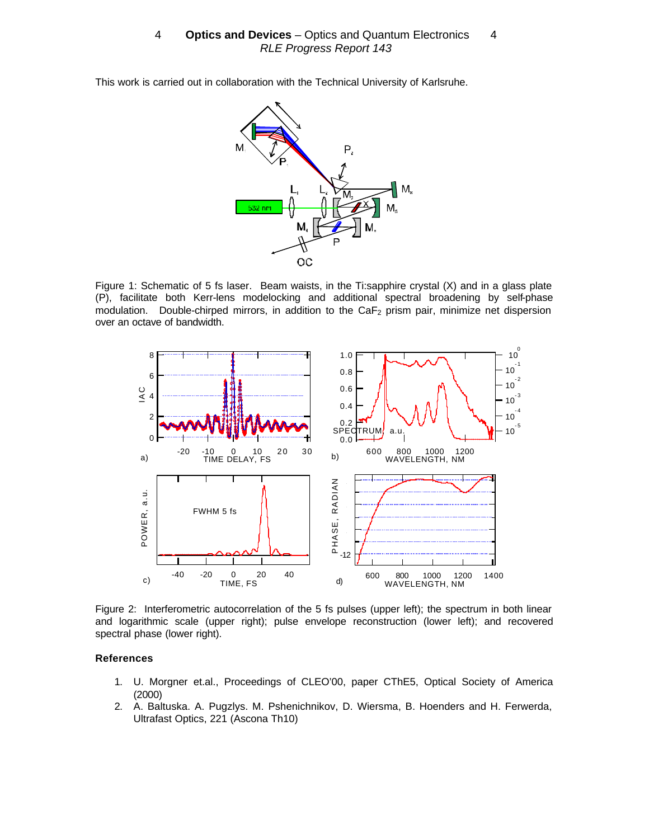This work is carried out in collaboration with the Technical University of Karlsruhe.



Figure 1: Schematic of 5 fs laser. Beam waists, in the Ti:sapphire crystal (X) and in a glass plate (P), facilitate both Kerr-lens modelocking and additional spectral broadening by self-phase modulation. Double-chirped mirrors, in addition to the CaF<sub>2</sub> prism pair, minimize net dispersion over an octave of bandwidth.



Figure 2: Interferometric autocorrelation of the 5 fs pulses (upper left); the spectrum in both linear and logarithmic scale (upper right); pulse envelope reconstruction (lower left); and recovered spectral phase (lower right).

#### **References**

- 1. U. Morgner et.al., Proceedings of CLEO'00, paper CThE5, Optical Society of America (2000)
- 2. A. Baltuska. A. Pugzlys. M. Pshenichnikov, D. Wiersma, B. Hoenders and H. Ferwerda, Ultrafast Optics, 221 (Ascona Th10)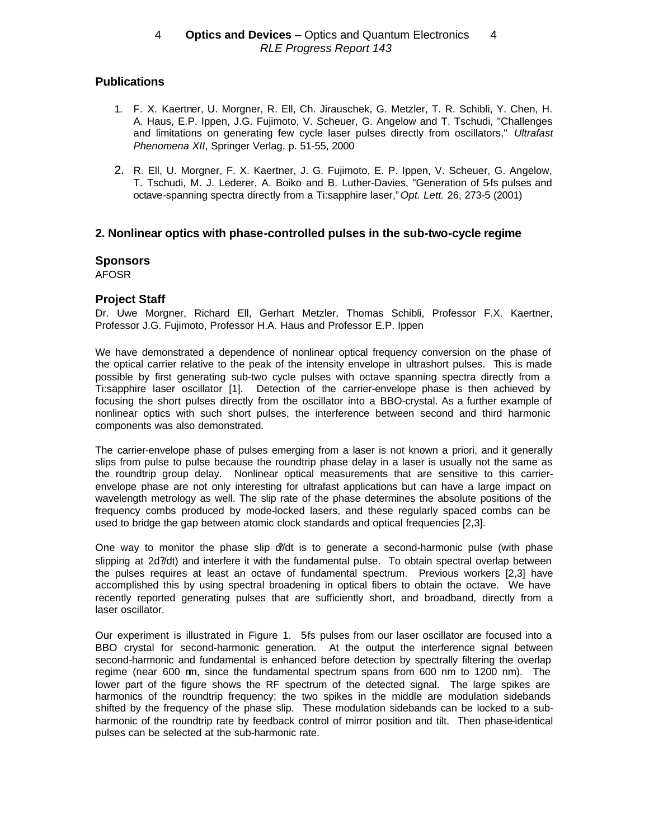# **Publications**

- 1. F. X. Kaertner, U. Morgner, R. Ell, Ch. Jirauschek, G. Metzler, T. R. Schibli, Y. Chen, H. A. Haus, E.P. Ippen, J.G. Fujimoto, V. Scheuer, G. Angelow and T. Tschudi, "Challenges and limitations on generating few cycle laser pulses directly from oscillators," *Ultrafast Phenomena XII*, Springer Verlag, p. 51-55, 2000
- 2. R. Ell, U. Morgner, F. X. Kaertner, J. G. Fujimoto, E. P. Ippen, V. Scheuer, G. Angelow, T. Tschudi, M. J. Lederer, A. Boiko and B. Luther-Davies, "Generation of 5-fs pulses and octave-spanning spectra directly from a Ti:sapphire laser,"*Opt. Lett.* 26, 273-5 (2001)

# **2. Nonlinear optics with phase-controlled pulses in the sub-two-cycle regime**

### **Sponsors**

AFOSR

# **Project Staff**

Dr. Uwe Morgner, Richard Ell, Gerhart Metzler, Thomas Schibli, Professor F.X. Kaertner, Professor J.G. Fujimoto, Professor H.A. Haus and Professor E.P. Ippen

We have demonstrated a dependence of nonlinear optical frequency conversion on the phase of the optical carrier relative to the peak of the intensity envelope in ultrashort pulses. This is made possible by first generating sub-two cycle pulses with octave spanning spectra directly from a Ti:sapphire laser oscillator [1]. Detection of the carrier-envelope phase is then achieved by focusing the short pulses directly from the oscillator into a BBO-crystal. As a further example of nonlinear optics with such short pulses, the interference between second and third harmonic components was also demonstrated.

The carrier-envelope phase of pulses emerging from a laser is not known a priori, and it generally slips from pulse to pulse because the roundtrip phase delay in a laser is usually not the same as the roundtrip group delay. Nonlinear optical measurements that are sensitive to this carrierenvelope phase are not only interesting for ultrafast applications but can have a large impact on wavelength metrology as well. The slip rate of the phase determines the absolute positions of the frequency combs produced by mode-locked lasers, and these regularly spaced combs can be used to bridge the gap between atomic clock standards and optical frequencies [2,3].

One way to monitor the phase slip  $d/dt$  is to generate a second-harmonic pulse (with phase slipping at 2d?/dt) and interfere it with the fundamental pulse. To obtain spectral overlap between the pulses requires at least an octave of fundamental spectrum. Previous workers [2,3] have accomplished this by using spectral broadening in optical fibers to obtain the octave. We have recently reported generating pulses that are sufficiently short, and broadband, directly from a laser oscillator.

Our experiment is illustrated in Figure 1. 5fs pulses from our laser oscillator are focused into a BBO crystal for second-harmonic generation. At the output the interference signal between second-harmonic and fundamental is enhanced before detection by spectrally filtering the overlap regime (near 600 nm, since the fundamental spectrum spans from 600 nm to 1200 nm). The lower part of the figure shows the RF spectrum of the detected signal. The large spikes are harmonics of the roundtrip frequency; the two spikes in the middle are modulation sidebands shifted by the frequency of the phase slip. These modulation sidebands can be locked to a subharmonic of the roundtrip rate by feedback control of mirror position and tilt. Then phase-identical pulses can be selected at the sub-harmonic rate.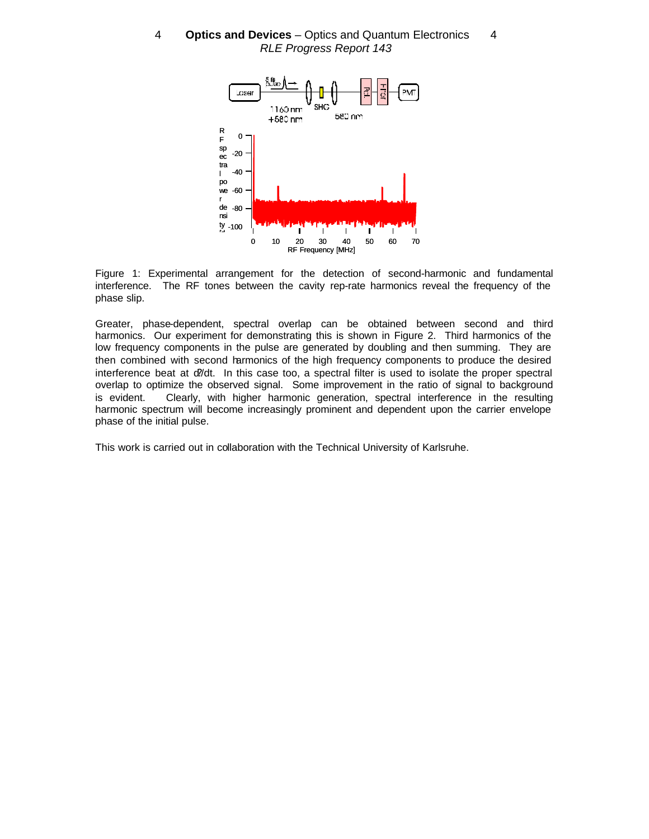4 **- Optics and Devices** - Optics and Quantum Electronics - 4 RLE Progress Report 143





Greater, phase-dependent, spectral overlap can be obtained between second and third harmonics. Our experiment for demonstrating this is shown in Figure 2. Third harmonics of the low frequency components in the pulse are generated by doubling and then summing. They are then combined with second harmonics of the high frequency components to produce the desired interference beat at d/dt. In this case too, a spectral filter is used to isolate the proper spectral overlap to optimize the observed signal. Some improvement in the ratio of signal to background is evident. Clearly, with higher harmonic generation, spectral interference in the resulting harmonic spectrum will become increasingly prominent and dependent upon the carrier envelope phase of the initial pulse.

This work is carried out in collaboration with the Technical University of Karlsruhe.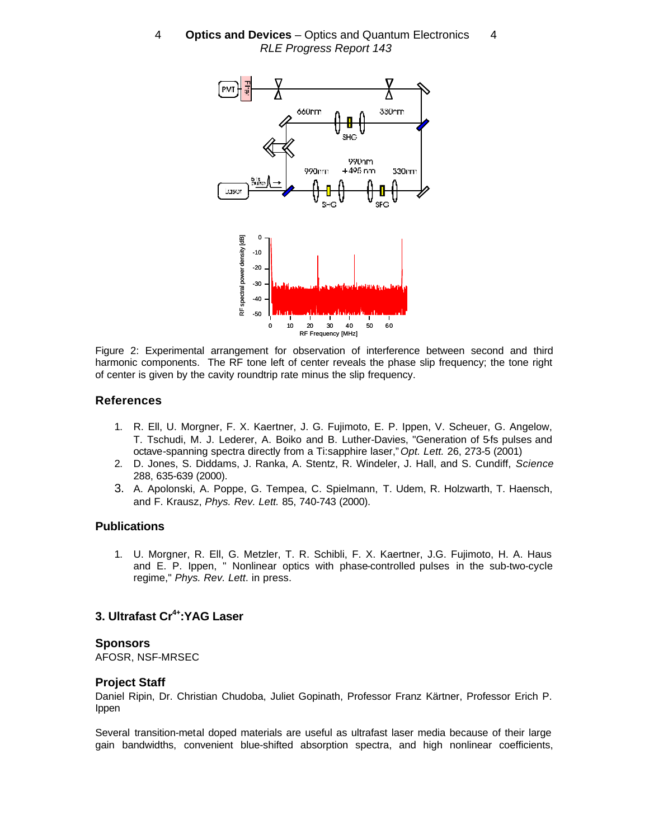

Figure 2: Experimental arrangement for observation of interference between second and third harmonic components. The RF tone left of center reveals the phase slip frequency; the tone right of center is given by the cavity roundtrip rate minus the slip frequency.

### **References**

- 1. R. Ell, U. Morgner, F. X. Kaertner, J. G. Fujimoto, E. P. Ippen, V. Scheuer, G. Angelow, T. Tschudi, M. J. Lederer, A. Boiko and B. Luther-Davies, "Generation of 5-fs pulses and octave-spanning spectra directly from a Ti:sapphire laser,"*Opt. Lett.* 26, 273-5 (2001)
- 2. D. Jones, S. Diddams, J. Ranka, A. Stentz, R. Windeler, J. Hall, and S. Cundiff, *Science* 288, 635-639 (2000).
- 3. A. Apolonski, A. Poppe, G. Tempea, C. Spielmann, T. Udem, R. Holzwarth, T. Haensch, and F. Krausz, *Phys. Rev. Lett.* 85, 740-743 (2000).

### **Publications**

1. U. Morgner, R. Ell, G. Metzler, T. R. Schibli, F. X. Kaertner, J.G. Fujimoto, H. A. Haus and E. P. Ippen, " Nonlinear optics with phase-controlled pulses in the sub-two-cycle regime," *Phys. Rev. Lett*. in press.

# **3. Ultrafast Cr4+:YAG Laser**

#### **Sponsors**

AFOSR, NSF-MRSEC

### **Project Staff**

Daniel Ripin, Dr. Christian Chudoba, Juliet Gopinath, Professor Franz Kärtner, Professor Erich P. Ippen

Several transition-metal doped materials are useful as ultrafast laser media because of their large gain bandwidths, convenient blue-shifted absorption spectra, and high nonlinear coefficients,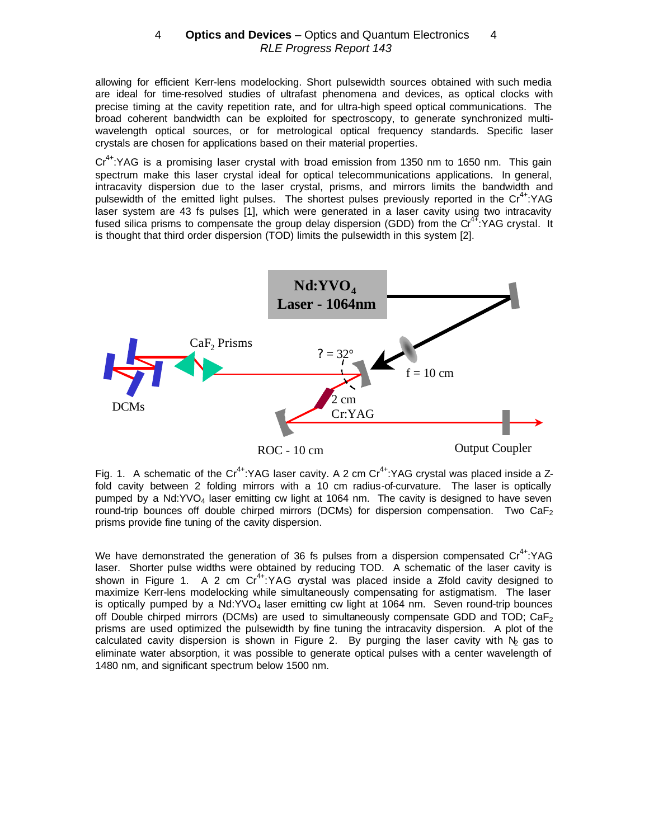allowing for efficient Kerr-lens modelocking. Short pulsewidth sources obtained with such media are ideal for time-resolved studies of ultrafast phenomena and devices, as optical clocks with precise timing at the cavity repetition rate, and for ultra-high speed optical communications. The broad coherent bandwidth can be exploited for spectroscopy, to generate synchronized multiwavelength optical sources, or for metrological optical frequency standards. Specific laser crystals are chosen for applications based on their material properties.

Cr<sup>4+</sup>:YAG is a promising laser crystal with broad emission from 1350 nm to 1650 nm. This gain spectrum make this laser crystal ideal for optical telecommunications applications. In general, intracavity dispersion due to the laser crystal, prisms, and mirrors limits the bandwidth and pulsewidth of the emitted light pulses. The shortest pulses previously reported in the  $Cr^{4+}$ :YAG laser system are 43 fs pulses [1], which were generated in a laser cavity using two intracavity fused silica prisms to compensate the group delay dispersion (GDD) from the Cr<sup>47</sup>: YAG crystal. It is thought that third order dispersion (TOD) limits the pulsewidth in this system [2].



Fig. 1. A schematic of the Cr<sup>4+</sup>:YAG laser cavity. A 2 cm Cr<sup>4+</sup>:YAG crystal was placed inside a Zfold cavity between 2 folding mirrors with a 10 cm radius-of-curvature. The laser is optically pumped by a  $Nd:YVO<sub>4</sub>$  laser emitting cw light at 1064 nm. The cavity is designed to have seven round-trip bounces off double chirped mirrors (DCMs) for dispersion compensation. Two  $CaF<sub>2</sub>$ prisms provide fine tuning of the cavity dispersion.

We have demonstrated the generation of 36 fs pulses from a dispersion compensated  $Cr^{4+}$ :YAG laser. Shorter pulse widths were obtained by reducing TOD. A schematic of the laser cavity is shown in Figure 1. A 2 cm  $Cr^{4+}$ :YAG aystal was placed inside a Zfold cavity designed to maximize Kerr-lens modelocking while simultaneously compensating for astigmatism. The laser is optically pumped by a  $Nd:YVO<sub>4</sub>$  laser emitting cw light at 1064 nm. Seven round-trip bounces off Double chirped mirrors (DCMs) are used to simultaneously compensate GDD and TOD;  $CaF<sub>2</sub>$ prisms are used optimized the pulsewidth by fine tuning the intracavity dispersion. A plot of the calculated cavity dispersion is shown in Figure 2. By purging the laser cavity with  $N_2$  gas to eliminate water absorption, it was possible to generate optical pulses with a center wavelength of 1480 nm, and significant spectrum below 1500 nm.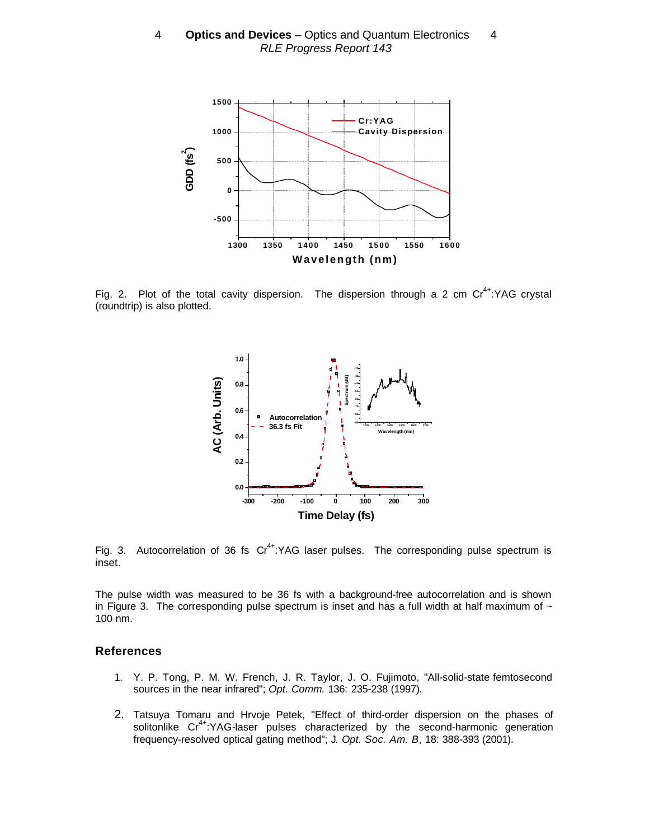

Fig. 2. Plot of the total cavity dispersion. The dispersion through a 2 cm  $Cr^{4+}$ :YAG crystal (roundtrip) is also plotted.



Fig. 3. Autocorrelation of 36 fs  $Cr^{4+}$ :YAG laser pulses. The corresponding pulse spectrum is inset.

The pulse width was measured to be 36 fs with a background-free autocorrelation and is shown in Figure 3. The corresponding pulse spectrum is inset and has a full width at half maximum of  $\sim$ 100 nm.

#### **References**

- 1. Y. P. Tong, P. M. W. French, J. R. Taylor, J. O. Fujimoto, "All-solid-state femtosecond sources in the near infrared"; *Opt. Comm.* 136: 235-238 (1997).
- 2. Tatsuya Tomaru and Hrvoje Petek, "Effect of third-order dispersion on the phases of solitonlike Cr<sup>4+</sup>:YAG-laser pulses characterized by the second-harmonic generation frequency-resolved optical gating method"; J*. Opt. Soc. Am. B*, 18: 388-393 (2001).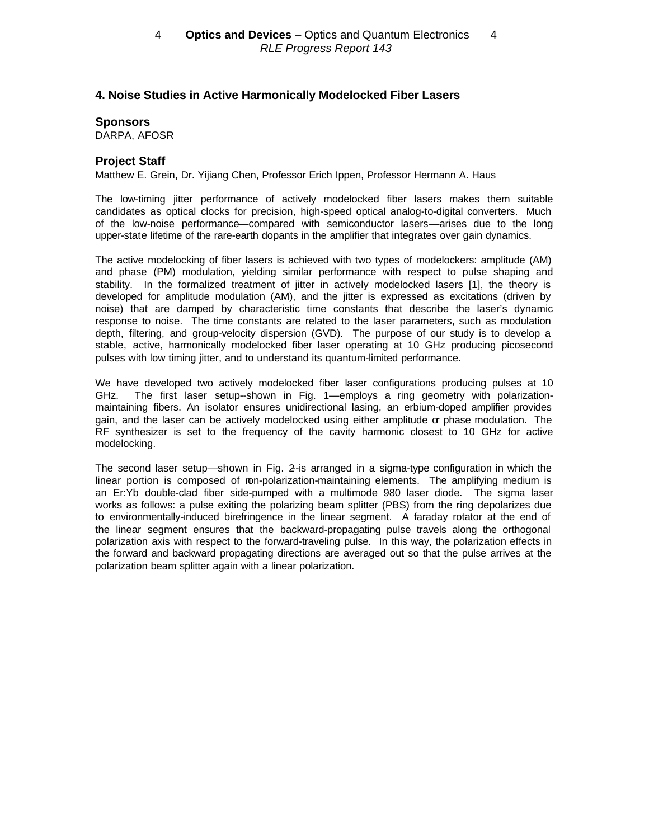# **4. Noise Studies in Active Harmonically Modelocked Fiber Lasers**

#### **Sponsors**

DARPA, AFOSR

## **Project Staff**

Matthew E. Grein, Dr. Yijiang Chen, Professor Erich Ippen, Professor Hermann A. Haus

The low-timing jitter performance of actively modelocked fiber lasers makes them suitable candidates as optical clocks for precision, high-speed optical analog-to-digital converters. Much of the low-noise performance—compared with semiconductor lasers—arises due to the long upper-state lifetime of the rare-earth dopants in the amplifier that integrates over gain dynamics.

The active modelocking of fiber lasers is achieved with two types of modelockers: amplitude (AM) and phase (PM) modulation, yielding similar performance with respect to pulse shaping and stability. In the formalized treatment of jitter in actively modelocked lasers [1], the theory is developed for amplitude modulation (AM), and the jitter is expressed as excitations (driven by noise) that are damped by characteristic time constants that describe the laser's dynamic response to noise. The time constants are related to the laser parameters, such as modulation depth, filtering, and group-velocity dispersion (GVD). The purpose of our study is to develop a stable, active, harmonically modelocked fiber laser operating at 10 GHz producing picosecond pulses with low timing jitter, and to understand its quantum-limited performance.

We have developed two actively modelocked fiber laser configurations producing pulses at 10 GHz. The first laser setup--shown in Fig. 1—employs a ring geometry with polarizationmaintaining fibers. An isolator ensures unidirectional lasing, an erbium-doped amplifier provides gain, and the laser can be actively modelocked using either amplitude or phase modulation. The RF synthesizer is set to the frequency of the cavity harmonic closest to 10 GHz for active modelocking.

The second laser setup—shown in Fig. 2-is arranged in a sigma-type configuration in which the linear portion is composed of ron-polarization-maintaining elements. The amplifying medium is an Er:Yb double-clad fiber side-pumped with a multimode 980 laser diode. The sigma laser works as follows: a pulse exiting the polarizing beam splitter (PBS) from the ring depolarizes due to environmentally-induced birefringence in the linear segment. A faraday rotator at the end of the linear segment ensures that the backward-propagating pulse travels along the orthogonal polarization axis with respect to the forward-traveling pulse. In this way, the polarization effects in the forward and backward propagating directions are averaged out so that the pulse arrives at the polarization beam splitter again with a linear polarization.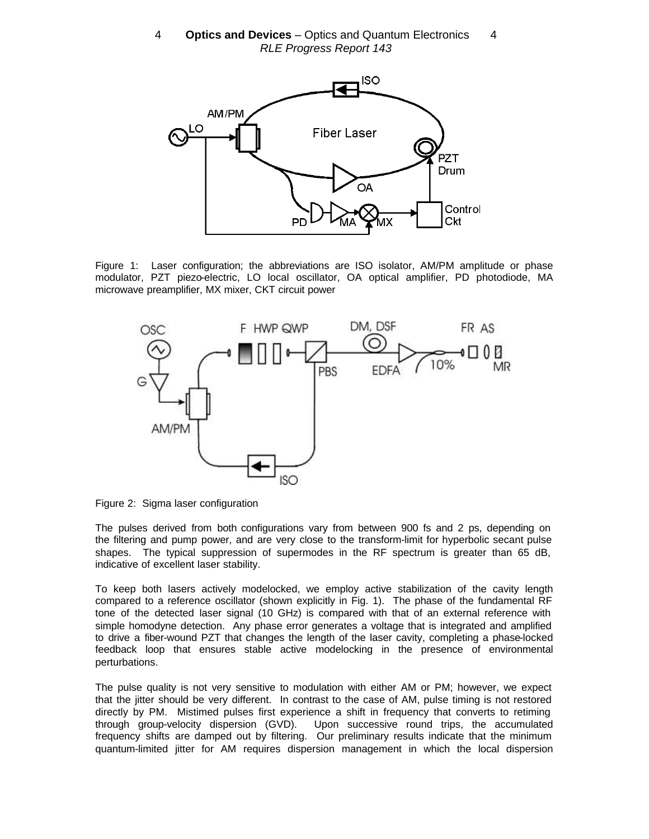

Figure 1: Laser configuration; the abbreviations are ISO isolator, AM/PM amplitude or phase modulator, PZT piezo-electric, LO local oscillator, OA optical amplifier, PD photodiode, MA microwave preamplifier, MX mixer, CKT circuit power



Figure 2: Sigma laser configuration

The pulses derived from both configurations vary from between 900 fs and 2 ps, depending on the filtering and pump power, and are very close to the transform-limit for hyperbolic secant pulse shapes. The typical suppression of supermodes in the RF spectrum is greater than 65 dB, indicative of excellent laser stability.

To keep both lasers actively modelocked, we employ active stabilization of the cavity length compared to a reference oscillator (shown explicitly in Fig. 1). The phase of the fundamental RF tone of the detected laser signal (10 GHz) is compared with that of an external reference with simple homodyne detection. Any phase error generates a voltage that is integrated and amplified to drive a fiber-wound PZT that changes the length of the laser cavity, completing a phase-locked feedback loop that ensures stable active modelocking in the presence of environmental perturbations.

The pulse quality is not very sensitive to modulation with either AM or PM; however, we expect that the jitter should be very different. In contrast to the case of AM, pulse timing is not restored directly by PM. Mistimed pulses first experience a shift in frequency that converts to retiming through group-velocity dispersion (GVD). Upon successive round trips, the accumulated frequency shifts are damped out by filtering. Our preliminary results indicate that the minimum quantum-limited jitter for AM requires dispersion management in which the local dispersion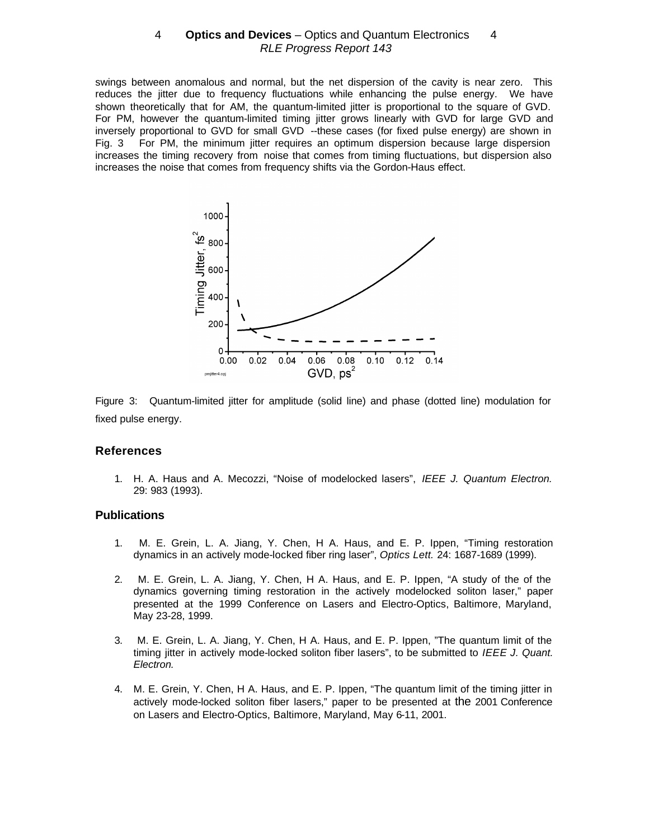swings between anomalous and normal, but the net dispersion of the cavity is near zero. This reduces the jitter due to frequency fluctuations while enhancing the pulse energy. We have shown theoretically that for AM, the quantum-limited jitter is proportional to the square of GVD. For PM, however the quantum-limited timing jitter grows linearly with GVD for large GVD and inversely proportional to GVD for small GVD --these cases (for fixed pulse energy) are shown in Fig. 3 For PM, the minimum jitter requires an optimum dispersion because large dispersion increases the timing recovery from noise that comes from timing fluctuations, but dispersion also increases the noise that comes from frequency shifts via the Gordon-Haus effect.



Figure 3:Quantum-limited jitter for amplitude (solid line) and phase (dotted line) modulation for fixed pulse energy.

#### **References**

1. H. A. Haus and A. Mecozzi, "Noise of modelocked lasers", *IEEE J. Quantum Electron.* 29: 983 (1993).

#### **Publications**

- 1. M. E. Grein, L. A. Jiang, Y. Chen, H A. Haus, and E. P. Ippen, "Timing restoration dynamics in an actively mode-locked fiber ring laser", *Optics Lett.* 24: 1687-1689 (1999).
- 2. M. E. Grein, L. A. Jiang, Y. Chen, H A. Haus, and E. P. Ippen, "A study of the of the dynamics governing timing restoration in the actively modelocked soliton laser," paper presented at the 1999 Conference on Lasers and Electro-Optics, Baltimore, Maryland, May 23-28, 1999.
- 3. M. E. Grein, L. A. Jiang, Y. Chen, H A. Haus, and E. P. Ippen, "The quantum limit of the timing jitter in actively mode-locked soliton fiber lasers", to be submitted to *IEEE J. Quant. Electron.*
- 4. M. E. Grein, Y. Chen, H A. Haus, and E. P. Ippen, "The quantum limit of the timing jitter in actively mode-locked soliton fiber lasers," paper to be presented at the 2001 Conference on Lasers and Electro-Optics, Baltimore, Maryland, May 6-11, 2001.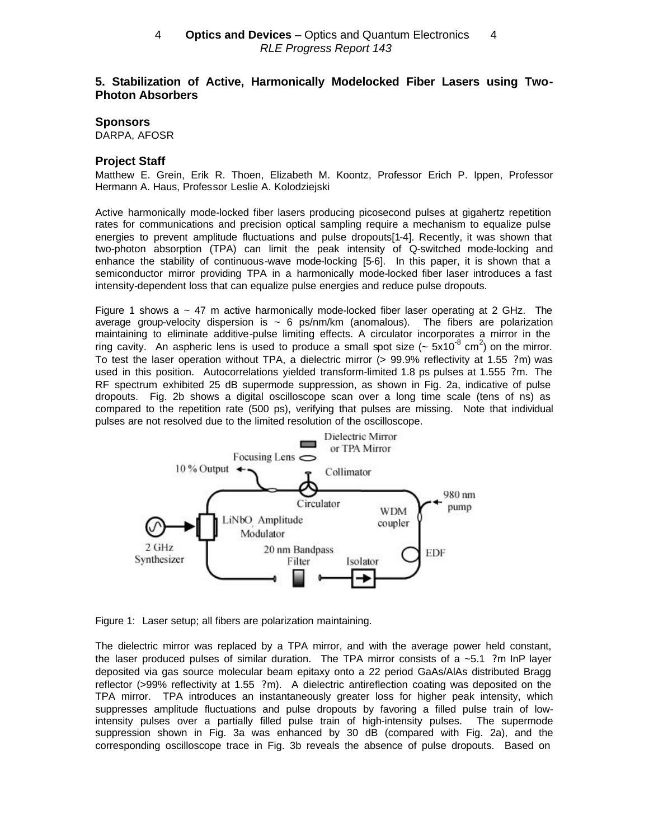# **5. Stabilization of Active, Harmonically Modelocked Fiber Lasers using Two-Photon Absorbers**

#### **Sponsors**

DARPA, AFOSR

#### **Project Staff**

Matthew E. Grein, Erik R. Thoen, Elizabeth M. Koontz, Professor Erich P. Ippen, Professor Hermann A. Haus, Professor Leslie A. Kolodziejski

Active harmonically mode-locked fiber lasers producing picosecond pulses at gigahertz repetition rates for communications and precision optical sampling require a mechanism to equalize pulse energies to prevent amplitude fluctuations and pulse dropouts[1-4]. Recently, it was shown that two-photon absorption (TPA) can limit the peak intensity of Q-switched mode-locking and enhance the stability of continuous-wave mode-locking [5-6]. In this paper, it is shown that a semiconductor mirror providing TPA in a harmonically mode-locked fiber laser introduces a fast intensity-dependent loss that can equalize pulse energies and reduce pulse dropouts.

Figure 1 shows  $a \sim 47$  m active harmonically mode-locked fiber laser operating at 2 GHz. The average group-velocity dispersion is  $\sim 6$  ps/nm/km (anomalous). The fibers are polarization maintaining to eliminate additive-pulse limiting effects. A circulator incorporates a mirror in the ring cavity. An aspheric lens is used to produce a small spot size ( $\sim 5 \times 10^{-8}$  cm<sup>2</sup>) on the mirror. To test the laser operation without TPA, a dielectric mirror (> 99.9% reflectivity at 1.55 ?m) was used in this position. Autocorrelations yielded transform-limited 1.8 ps pulses at 1.555 ?m. The RF spectrum exhibited 25 dB supermode suppression, as shown in Fig. 2a, indicative of pulse dropouts. Fig. 2b shows a digital oscilloscope scan over a long time scale (tens of ns) as compared to the repetition rate (500 ps), verifying that pulses are missing. Note that individual pulses are not resolved due to the limited resolution of the oscilloscope.



Figure 1: Laser setup; all fibers are polarization maintaining.

The dielectric mirror was replaced by a TPA mirror, and with the average power held constant, the laser produced pulses of similar duration. The TPA mirror consists of a  $~5.1$  ?m InP layer deposited via gas source molecular beam epitaxy onto a 22 period GaAs/AlAs distributed Bragg reflector (>99% reflectivity at 1.55 ?m). A dielectric antireflection coating was deposited on the TPA mirror. TPA introduces an instantaneously greater loss for higher peak intensity, which suppresses amplitude fluctuations and pulse dropouts by favoring a filled pulse train of lowintensity pulses over a partially filled pulse train of high-intensity pulses. The supermode suppression shown in Fig. 3a was enhanced by 30 dB (compared with Fig. 2a), and the corresponding oscilloscope trace in Fig. 3b reveals the absence of pulse dropouts. Based on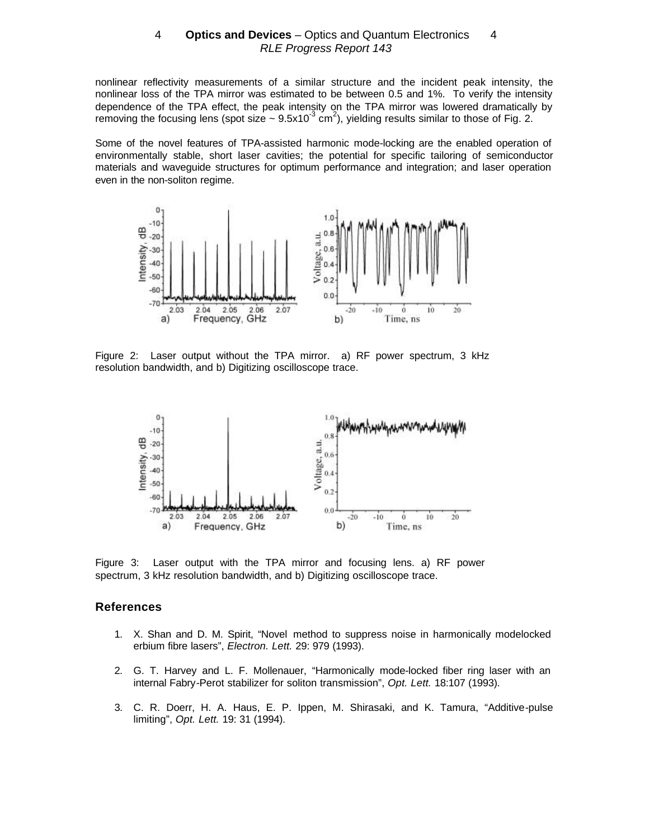nonlinear reflectivity measurements of a similar structure and the incident peak intensity, the nonlinear loss of the TPA mirror was estimated to be between 0.5 and 1%. To verify the intensity dependence of the TPA effect, the peak intensity on the TPA mirror was lowered dramatically by removing the focusing lens (spot size ~ 9.5x10<sup>-3</sup> cm<sup>2</sup>), yielding results similar to those of Fig. 2.

Some of the novel features of TPA-assisted harmonic mode-locking are the enabled operation of environmentally stable, short laser cavities; the potential for specific tailoring of semiconductor materials and waveguide structures for optimum performance and integration; and laser operation even in the non-soliton regime.



Figure 2: Laser output without the TPA mirror. a) RF power spectrum, 3 kHz resolution bandwidth, and b) Digitizing oscilloscope trace.



Figure 3: Laser output with the TPA mirror and focusing lens. a) RF power spectrum, 3 kHz resolution bandwidth, and b) Digitizing oscilloscope trace.

#### **References**

- 1. X. Shan and D. M. Spirit, "Novel method to suppress noise in harmonically modelocked erbium fibre lasers", *Electron. Lett.* 29: 979 (1993).
- 2. G. T. Harvey and L. F. Mollenauer, "Harmonically mode-locked fiber ring laser with an internal Fabry-Perot stabilizer for soliton transmission", *Opt. Lett.* 18:107 (1993).
- 3. C. R. Doerr, H. A. Haus, E. P. Ippen, M. Shirasaki, and K. Tamura, "Additive-pulse limiting", *Opt. Lett.* 19: 31 (1994).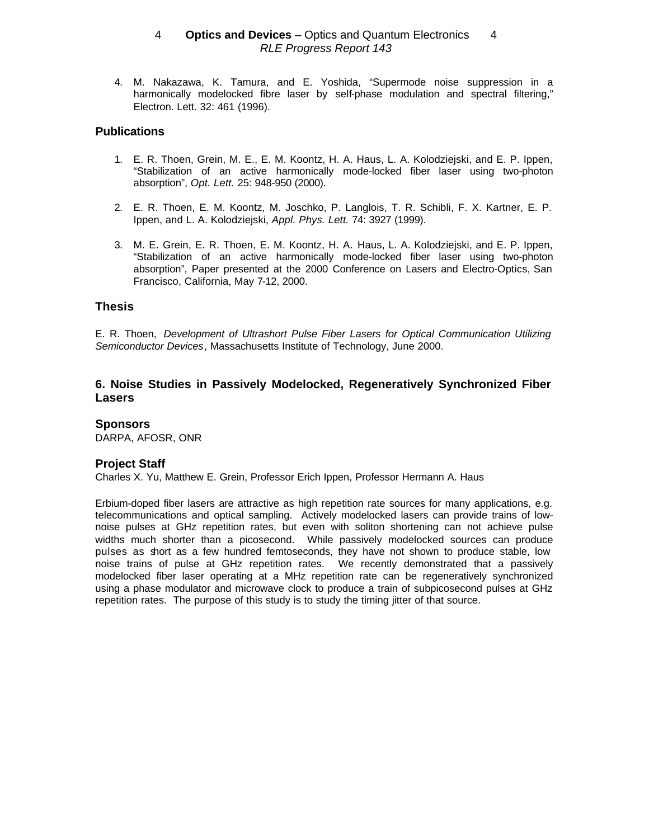4. M. Nakazawa, K. Tamura, and E. Yoshida, "Supermode noise suppression in a harmonically modelocked fibre laser by self-phase modulation and spectral filtering," Electron. Lett. 32: 461 (1996).

## **Publications**

- 1. E. R. Thoen, Grein, M. E., E. M. Koontz, H. A. Haus, L. A. Kolodziejski, and E. P. Ippen, "Stabilization of an active harmonically mode-locked fiber laser using two-photon absorption", *Opt. Lett.* 25: 948-950 (2000).
- 2. E. R. Thoen, E. M. Koontz, M. Joschko, P. Langlois, T. R. Schibli, F. X. Kartner, E. P. Ippen, and L. A. Kolodziejski, *Appl. Phys. Lett.* 74: 3927 (1999).
- 3. M. E. Grein, E. R. Thoen, E. M. Koontz, H. A. Haus, L. A. Kolodziejski, and E. P. Ippen, "Stabilization of an active harmonically mode-locked fiber laser using two-photon absorption", Paper presented at the 2000 Conference on Lasers and Electro-Optics, San Francisco, California, May 7-12, 2000.

# **Thesis**

E. R. Thoen, *Development of Ultrashort Pulse Fiber Lasers for Optical Communication Utilizing Semiconductor Devices*, Massachusetts Institute of Technology, June 2000.

# **6. Noise Studies in Passively Modelocked, Regeneratively Synchronized Fiber Lasers**

### **Sponsors**

DARPA, AFOSR, ONR

### **Project Staff**

Charles X. Yu, Matthew E. Grein, Professor Erich Ippen, Professor Hermann A. Haus

Erbium-doped fiber lasers are attractive as high repetition rate sources for many applications, e.g. telecommunications and optical sampling. Actively modelocked lasers can provide trains of lownoise pulses at GHz repetition rates, but even with soliton shortening can not achieve pulse widths much shorter than a picosecond. While passively modelocked sources can produce pulses as short as a few hundred femtoseconds, they have not shown to produce stable, low noise trains of pulse at GHz repetition rates. We recently demonstrated that a passively modelocked fiber laser operating at a MHz repetition rate can be regeneratively synchronized using a phase modulator and microwave clock to produce a train of subpicosecond pulses at GHz repetition rates. The purpose of this study is to study the timing jitter of that source.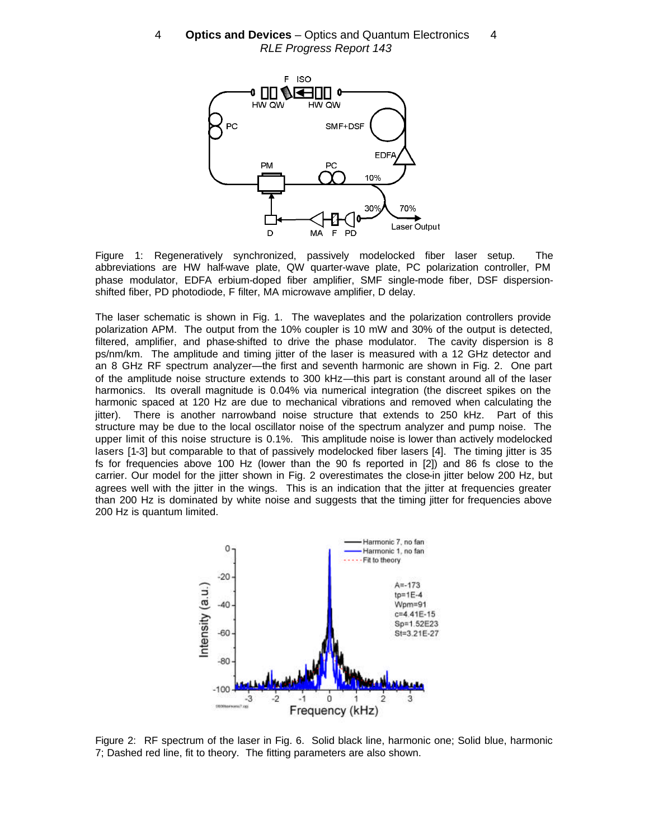

Figure 1: Regeneratively synchronized, passively modelocked fiber laser setup. The abbreviations are HW half-wave plate, QW quarter-wave plate, PC polarization controller, PM phase modulator, EDFA erbium-doped fiber amplifier, SMF single-mode fiber, DSF dispersionshifted fiber, PD photodiode, F filter, MA microwave amplifier, D delay.

The laser schematic is shown in Fig. 1. The waveplates and the polarization controllers provide polarization APM. The output from the 10% coupler is 10 mW and 30% of the output is detected, filtered, amplifier, and phase-shifted to drive the phase modulator. The cavity dispersion is 8 ps/nm/km. The amplitude and timing jitter of the laser is measured with a 12 GHz detector and an 8 GHz RF spectrum analyzer—the first and seventh harmonic are shown in Fig. 2. One part of the amplitude noise structure extends to 300 kHz—this part is constant around all of the laser harmonics. Its overall magnitude is 0.04% via numerical integration (the discreet spikes on the harmonic spaced at 120 Hz are due to mechanical vibrations and removed when calculating the jitter). There is another narrowband noise structure that extends to 250 kHz. Part of this structure may be due to the local oscillator noise of the spectrum analyzer and pump noise. The upper limit of this noise structure is 0.1%. This amplitude noise is lower than actively modelocked lasers [1-3] but comparable to that of passively modelocked fiber lasers [4]. The timing jitter is 35 fs for frequencies above 100 Hz (lower than the 90 fs reported in [2]) and 86 fs close to the carrier. Our model for the jitter shown in Fig. 2 overestimates the close-in jitter below 200 Hz, but agrees well with the jitter in the wings. This is an indication that the jitter at frequencies greater than 200 Hz is dominated by white noise and suggests that the timing jitter for frequencies above 200 Hz is quantum limited.



Figure 2: RF spectrum of the laser in Fig. 6. Solid black line, harmonic one; Solid blue, harmonic 7; Dashed red line, fit to theory. The fitting parameters are also shown.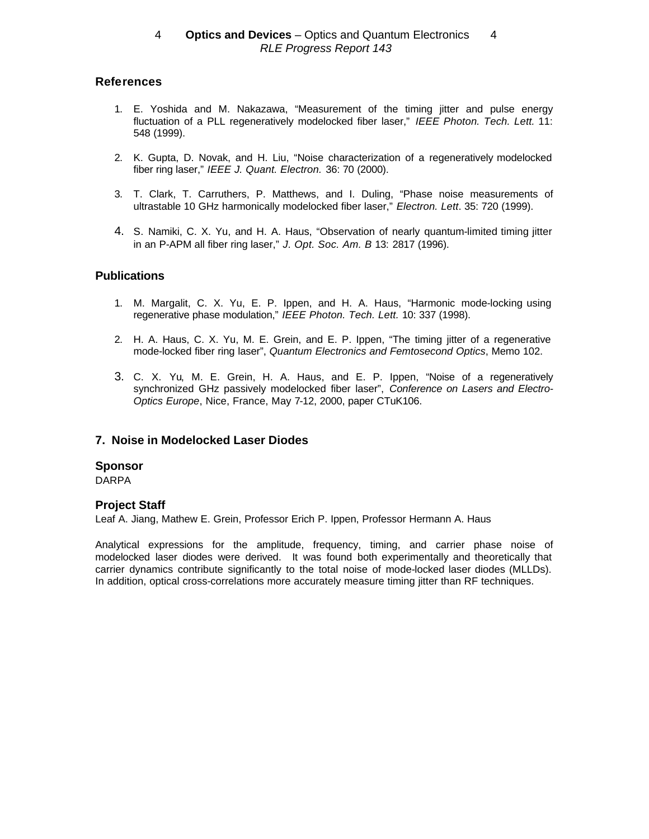# **References**

- 1. E. Yoshida and M. Nakazawa, "Measurement of the timing jitter and pulse energy fluctuation of a PLL regeneratively modelocked fiber laser," *IEEE Photon. Tech. Lett.* 11: 548 (1999).
- 2. K. Gupta, D. Novak, and H. Liu, "Noise characterization of a regeneratively modelocked fiber ring laser," *IEEE J. Quant. Electron.* 36: 70 (2000).
- 3. T. Clark, T. Carruthers, P. Matthews, and I. Duling, "Phase noise measurements of ultrastable 10 GHz harmonically modelocked fiber laser," *Electron. Lett*. 35: 720 (1999).
- 4. S. Namiki, C. X. Yu, and H. A. Haus, "Observation of nearly quantum-limited timing jitter in an P-APM all fiber ring laser," *J. Opt. Soc. Am. B* 13: 2817 (1996).

# **Publications**

- 1. M. Margalit, C. X. Yu, E. P. Ippen, and H. A. Haus, "Harmonic mode-locking using regenerative phase modulation," *IEEE Photon. Tech. Lett.* 10: 337 (1998).
- 2. H. A. Haus, C. X. Yu, M. E. Grein, and E. P. Ippen, "The timing jitter of a regenerative mode-locked fiber ring laser", *Quantum Electronics and Femtosecond Optics*, Memo 102.
- 3. C. X. Yu, M. E. Grein, H. A. Haus, and E. P. Ippen, "Noise of a regeneratively synchronized GHz passively modelocked fiber laser", *Conference on Lasers and Electro-Optics Europe*, Nice, France, May 7-12, 2000, paper CTuK106.

# **7. Noise in Modelocked Laser Diodes**

### **Sponsor**

DARPA

### **Project Staff**

Leaf A. Jiang, Mathew E. Grein, Professor Erich P. Ippen, Professor Hermann A. Haus

Analytical expressions for the amplitude, frequency, timing, and carrier phase noise of modelocked laser diodes were derived. It was found both experimentally and theoretically that carrier dynamics contribute significantly to the total noise of mode-locked laser diodes (MLLDs). In addition, optical cross-correlations more accurately measure timing jitter than RF techniques.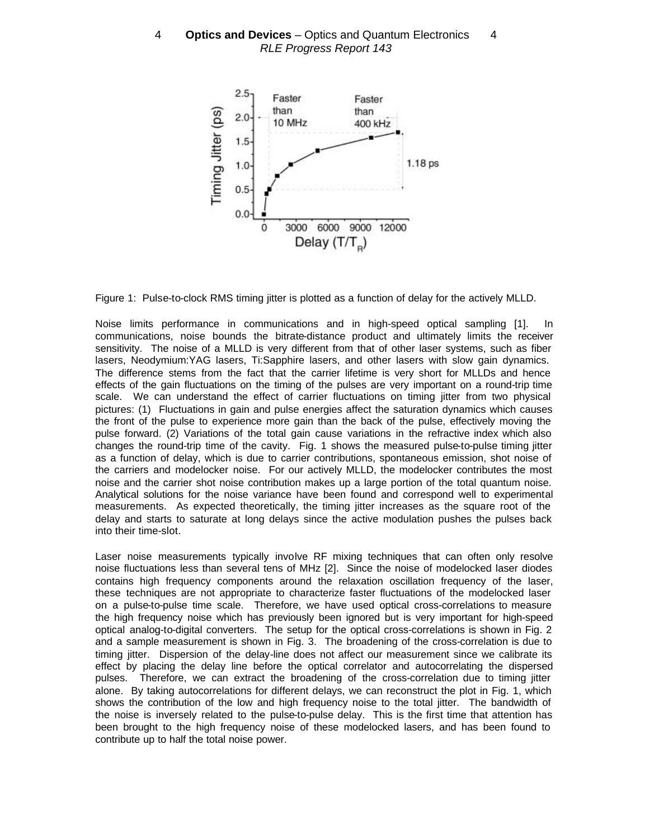

Figure 1: Pulse-to-clock RMS timing jitter is plotted as a function of delay for the actively MLLD.

Noise limits performance in communications and in high-speed optical sampling [1]. In communications, noise bounds the bitrate-distance product and ultimately limits the receiver sensitivity. The noise of a MLLD is very different from that of other laser systems, such as fiber lasers, Neodymium:YAG lasers, Ti:Sapphire lasers, and other lasers with slow gain dynamics. The difference stems from the fact that the carrier lifetime is very short for MLLDs and hence effects of the gain fluctuations on the timing of the pulses are very important on a round-trip time scale. We can understand the effect of carrier fluctuations on timing jitter from two physical pictures: (1) Fluctuations in gain and pulse energies affect the saturation dynamics which causes the front of the pulse to experience more gain than the back of the pulse, effectively moving the pulse forward. (2) Variations of the total gain cause variations in the refractive index which also changes the round-trip time of the cavity. Fig. 1 shows the measured pulse-to-pulse timing jitter as a function of delay, which is due to carrier contributions, spontaneous emission, shot noise of the carriers and modelocker noise. For our actively MLLD, the modelocker contributes the most noise and the carrier shot noise contribution makes up a large portion of the total quantum noise. Analytical solutions for the noise variance have been found and correspond well to experimental measurements. As expected theoretically, the timing jitter increases as the square root of the delay and starts to saturate at long delays since the active modulation pushes the pulses back into their time-slot.

Laser noise measurements typically involve RF mixing techniques that can often only resolve noise fluctuations less than several tens of MHz [2]. Since the noise of modelocked laser diodes contains high frequency components around the relaxation oscillation frequency of the laser, these techniques are not appropriate to characterize faster fluctuations of the modelocked laser on a pulse-to-pulse time scale. Therefore, we have used optical cross-correlations to measure the high frequency noise which has previously been ignored but is very important for high-speed optical analog-to-digital converters. The setup for the optical cross-correlations is shown in Fig. 2 and a sample measurement is shown in Fig. 3. The broadening of the cross-correlation is due to timing jitter. Dispersion of the delay-line does not affect our measurement since we calibrate its effect by placing the delay line before the optical correlator and autocorrelating the dispersed pulses. Therefore, we can extract the broadening of the cross-correlation due to timing jitter alone. By taking autocorrelations for different delays, we can reconstruct the plot in Fig. 1, which shows the contribution of the low and high frequency noise to the total jitter. The bandwidth of the noise is inversely related to the pulse-to-pulse delay. This is the first time that attention has been brought to the high frequency noise of these modelocked lasers, and has been found to contribute up to half the total noise power.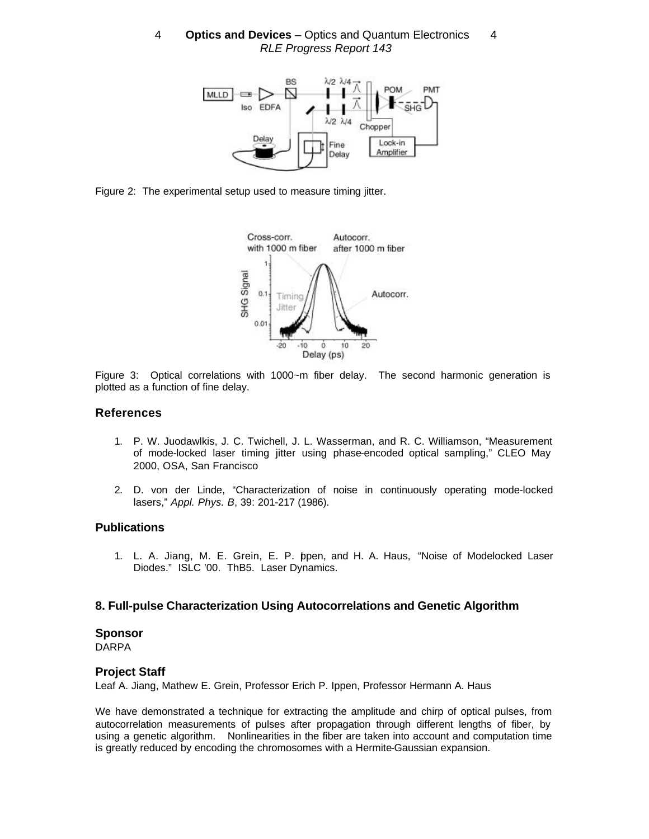

Figure 2: The experimental setup used to measure timing jitter.



Figure 3: Optical correlations with 1000~m fiber delay. The second harmonic generation is plotted as a function of fine delay.

### **References**

- 1. P. W. Juodawlkis, J. C. Twichell, J. L. Wasserman, and R. C. Williamson, "Measurement of mode-locked laser timing jitter using phase-encoded optical sampling," CLEO May 2000, OSA, San Francisco
- 2. D. von der Linde, "Characterization of noise in continuously operating mode-locked lasers," *Appl. Phys. B*, 39: 201-217 (1986).

### **Publications**

1. L. A. Jiang, M. E. Grein, E. P. Ippen, and H. A. Haus, "Noise of Modelocked Laser Diodes." ISLC '00. ThB5. Laser Dynamics.

### **8. Full-pulse Characterization Using Autocorrelations and Genetic Algorithm**

#### **Sponsor**

DARPA

### **Project Staff**

Leaf A. Jiang, Mathew E. Grein, Professor Erich P. Ippen, Professor Hermann A. Haus

We have demonstrated a technique for extracting the amplitude and chirp of optical pulses, from autocorrelation measurements of pulses after propagation through different lengths of fiber, by using a genetic algorithm. Nonlinearities in the fiber are taken into account and computation time is greatly reduced by encoding the chromosomes with a Hermite-Gaussian expansion.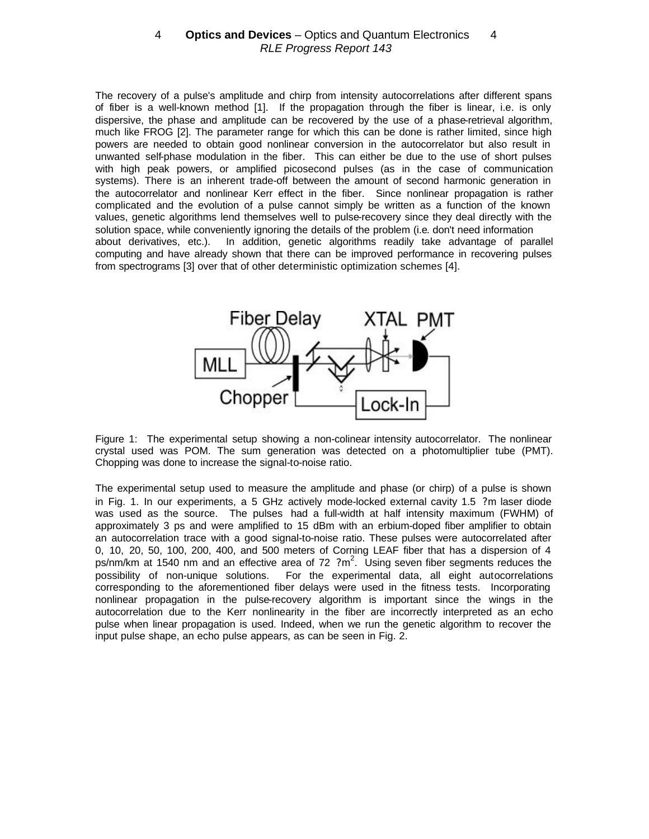The recovery of a pulse's amplitude and chirp from intensity autocorrelations after different spans of fiber is a well-known method [1]. If the propagation through the fiber is linear, i.e. is only dispersive, the phase and amplitude can be recovered by the use of a phase-retrieval algorithm, much like FROG [2]. The parameter range for which this can be done is rather limited, since high powers are needed to obtain good nonlinear conversion in the autocorrelator but also result in unwanted self-phase modulation in the fiber. This can either be due to the use of short pulses with high peak powers, or amplified picosecond pulses (as in the case of communication systems). There is an inherent trade-off between the amount of second harmonic generation in the autocorrelator and nonlinear Kerr effect in the fiber. Since nonlinear propagation is rather complicated and the evolution of a pulse cannot simply be written as a function of the known values, genetic algorithms lend themselves well to pulse-recovery since they deal directly with the solution space, while conveniently ignoring the details of the problem (i.e. don't need information about derivatives, etc.). In addition, genetic algorithms readily take advantage of parallel computing and have already shown that there can be improved performance in recovering pulses from spectrograms [3] over that of other deterministic optimization schemes [4].



Figure 1: The experimental setup showing a non-colinear intensity autocorrelator. The nonlinear crystal used was POM. The sum generation was detected on a photomultiplier tube (PMT). Chopping was done to increase the signal-to-noise ratio.

The experimental setup used to measure the amplitude and phase (or chirp) of a pulse is shown in Fig. 1. In our experiments, a 5 GHz actively mode-locked external cavity 1.5 ?m laser diode was used as the source. The pulses had a full-width at half intensity maximum (FWHM) of approximately 3 ps and were amplified to 15 dBm with an erbium-doped fiber amplifier to obtain an autocorrelation trace with a good signal-to-noise ratio. These pulses were autocorrelated after 0, 10, 20, 50, 100, 200, 400, and 500 meters of Corning LEAF fiber that has a dispersion of 4 ps/nm/km at 1540 nm and an effective area of 72  $2 \text{ m}^2$ . Using seven fiber segments reduces the possibility of non-unique solutions. For the experimental data, all eight autocorrelations corresponding to the aforementioned fiber delays were used in the fitness tests. Incorporating nonlinear propagation in the pulse-recovery algorithm is important since the wings in the autocorrelation due to the Kerr nonlinearity in the fiber are incorrectly interpreted as an echo pulse when linear propagation is used. Indeed, when we run the genetic algorithm to recover the input pulse shape, an echo pulse appears, as can be seen in Fig. 2.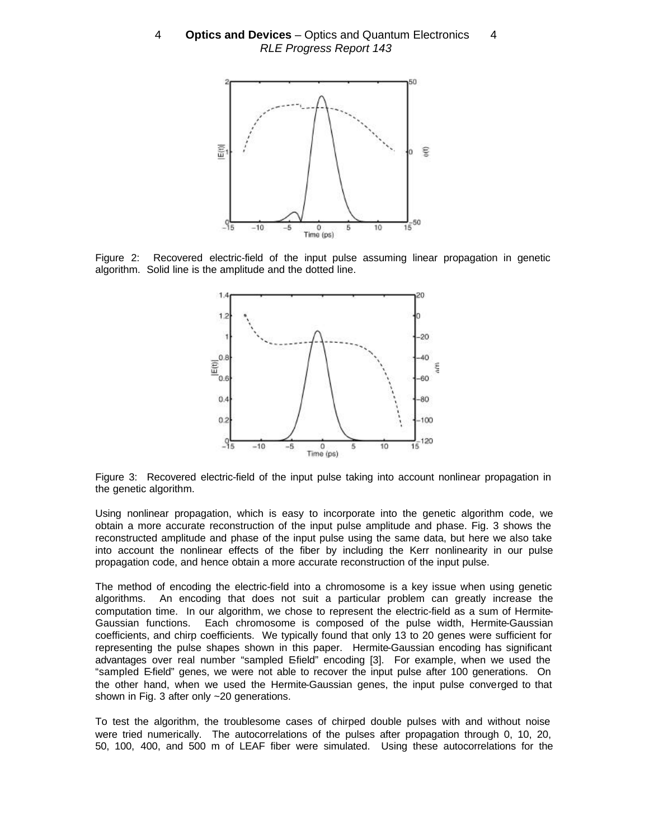

Figure 2: Recovered electric-field of the input pulse assuming linear propagation in genetic algorithm. Solid line is the amplitude and the dotted line.



Figure 3: Recovered electric-field of the input pulse taking into account nonlinear propagation in the genetic algorithm.

Using nonlinear propagation, which is easy to incorporate into the genetic algorithm code, we obtain a more accurate reconstruction of the input pulse amplitude and phase. Fig. 3 shows the reconstructed amplitude and phase of the input pulse using the same data, but here we also take into account the nonlinear effects of the fiber by including the Kerr nonlinearity in our pulse propagation code, and hence obtain a more accurate reconstruction of the input pulse.

The method of encoding the electric-field into a chromosome is a key issue when using genetic algorithms. An encoding that does not suit a particular problem can greatly increase the computation time. In our algorithm, we chose to represent the electric-field as a sum of Hermite-Gaussian functions. Each chromosome is composed of the pulse width, Hermite-Gaussian coefficients, and chirp coefficients. We typically found that only 13 to 20 genes were sufficient for representing the pulse shapes shown in this paper. Hermite-Gaussian encoding has significant advantages over real number "sampled E-field" encoding [3]. For example, when we used the "sampled E-field" genes, we were not able to recover the input pulse after 100 generations. On the other hand, when we used the Hermite-Gaussian genes, the input pulse converged to that shown in Fig. 3 after only ~20 generations.

To test the algorithm, the troublesome cases of chirped double pulses with and without noise were tried numerically. The autocorrelations of the pulses after propagation through 0, 10, 20, 50, 100, 400, and 500 m of LEAF fiber were simulated. Using these autocorrelations for the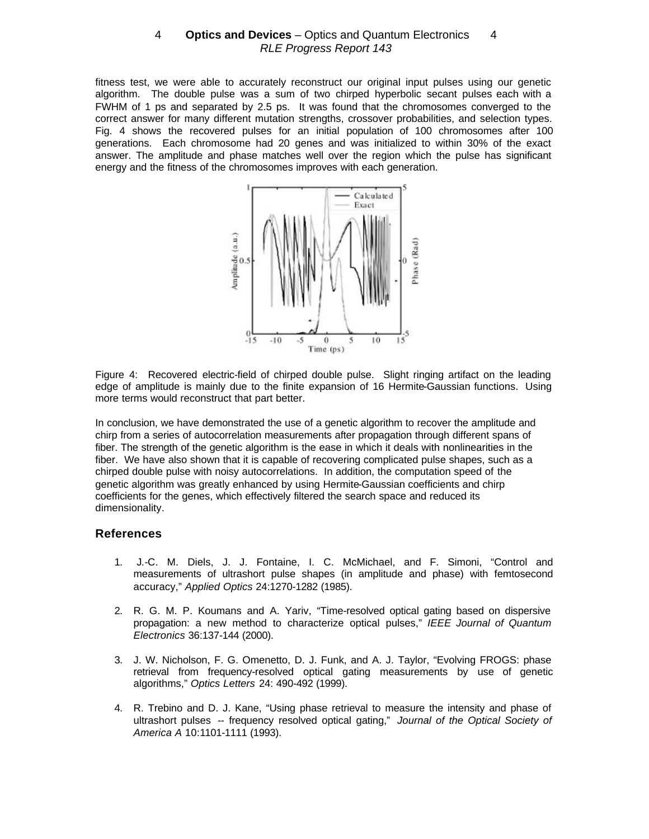fitness test, we were able to accurately reconstruct our original input pulses using our genetic algorithm. The double pulse was a sum of two chirped hyperbolic secant pulses each with a FWHM of 1 ps and separated by 2.5 ps. It was found that the chromosomes converged to the correct answer for many different mutation strengths, crossover probabilities, and selection types. Fig. 4 shows the recovered pulses for an initial population of 100 chromosomes after 100 generations. Each chromosome had 20 genes and was initialized to within 30% of the exact answer. The amplitude and phase matches well over the region which the pulse has significant energy and the fitness of the chromosomes improves with each generation.



Figure 4: Recovered electric-field of chirped double pulse. Slight ringing artifact on the leading edge of amplitude is mainly due to the finite expansion of 16 Hermite-Gaussian functions. Using more terms would reconstruct that part better.

In conclusion, we have demonstrated the use of a genetic algorithm to recover the amplitude and chirp from a series of autocorrelation measurements after propagation through different spans of fiber. The strength of the genetic algorithm is the ease in which it deals with nonlinearities in the fiber. We have also shown that it is capable of recovering complicated pulse shapes, such as a chirped double pulse with noisy autocorrelations. In addition, the computation speed of the genetic algorithm was greatly enhanced by using Hermite-Gaussian coefficients and chirp coefficients for the genes, which effectively filtered the search space and reduced its dimensionality.

### **References**

- 1. J.-C. M. Diels, J. J. Fontaine, I. C. McMichael, and F. Simoni, "Control and measurements of ultrashort pulse shapes (in amplitude and phase) with femtosecond accuracy," *Applied Optics* 24:1270-1282 (1985).
- 2. R. G. M. P. Koumans and A. Yariv, "Time-resolved optical gating based on dispersive propagation: a new method to characterize optical pulses," *IEEE Journal of Quantum Electronics* 36:137-144 (2000).
- 3. J. W. Nicholson, F. G. Omenetto, D. J. Funk, and A. J. Taylor, "Evolving FROGS: phase retrieval from frequency-resolved optical gating measurements by use of genetic algorithms," *Optics Letters* 24: 490-492 (1999).
- 4. R. Trebino and D. J. Kane, "Using phase retrieval to measure the intensity and phase of ultrashort pulses -- frequency resolved optical gating," *Journal of the Optical Society of America A* 10:1101-1111 (1993).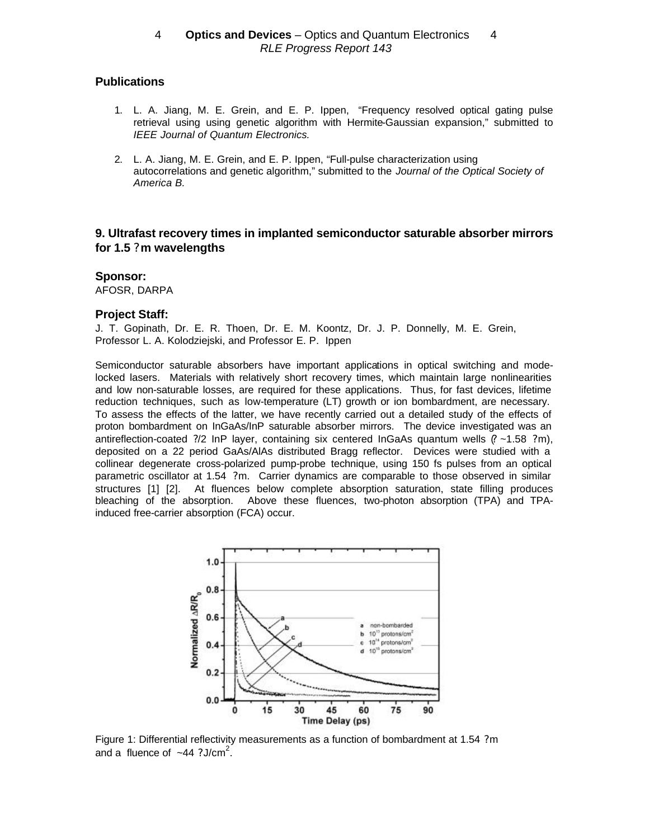# **Publications**

- 1. L. A. Jiang, M. E. Grein, and E. P. Ippen, "Frequency resolved optical gating pulse retrieval using using genetic algorithm with Hermite-Gaussian expansion," submitted to *IEEE Journal of Quantum Electronics.*
- 2. L. A. Jiang, M. E. Grein, and E. P. Ippen, "Full-pulse characterization using autocorrelations and genetic algorithm," submitted to the *Journal of the Optical Society of America B.*

# **9. Ultrafast recovery times in implanted semiconductor saturable absorber mirrors for 1.5 ? m wavelengths**

#### **Sponsor:**

AFOSR, DARPA

#### **Project Staff:**

J. T. Gopinath, Dr. E. R. Thoen, Dr. E. M. Koontz, Dr. J. P. Donnelly, M. E. Grein, Professor L. A. Kolodziejski, and Professor E. P. Ippen

Semiconductor saturable absorbers have important applications in optical switching and modelocked lasers. Materials with relatively short recovery times, which maintain large nonlinearities and low non-saturable losses, are required for these applications. Thus, for fast devices, lifetime reduction techniques, such as low-temperature (LT) growth or ion bombardment, are necessary. To assess the effects of the latter, we have recently carried out a detailed study of the effects of proton bombardment on InGaAs/InP saturable absorber mirrors. The device investigated was an antireflection-coated ?/2 InP layer, containing six centered InGaAs quantum wells (? ~1.58 ?m), deposited on a 22 period GaAs/AlAs distributed Bragg reflector. Devices were studied with a collinear degenerate cross-polarized pump-probe technique, using 150 fs pulses from an optical parametric oscillator at 1.54 ?m. Carrier dynamics are comparable to those observed in similar structures [1] [2]. At fluences below complete absorption saturation, state filling produces bleaching of the absorption. Above these fluences, two-photon absorption (TPA) and TPAinduced free-carrier absorption (FCA) occur.



Figure 1: Differential reflectivity measurements as a function of bombardment at 1.54 ?m and a fluence of  $-44$  ?J/cm<sup>2</sup>.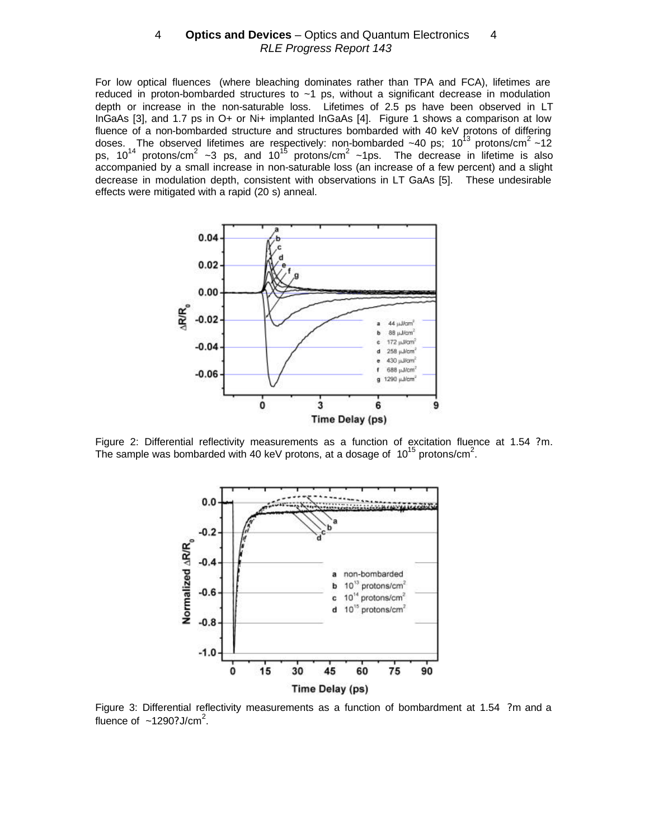For low optical fluences (where bleaching dominates rather than TPA and FCA), lifetimes are reduced in proton-bombarded structures to  $\sim$ 1 ps, without a significant decrease in modulation depth or increase in the non-saturable loss. Lifetimes of 2.5 ps have been observed in LT InGaAs [3], and 1.7 ps in O+ or Ni+ implanted InGaAs [4]. Figure 1 shows a comparison at low fluence of a non-bombarded structure and structures bombarded with 40 keV protons of differing doses. The observed lifetimes are respectively: non-bombarded ~40 ps; 10<sup>13</sup> protons/cm<sup>2</sup> ~12 ps, 10<sup>14</sup> protons/cm<sup>2</sup> ~3 ps, and 10<sup>15</sup> protons/cm<sup>2</sup> ~1ps. The decrease in lifetime is also accompanied by a small increase in non-saturable loss (an increase of a few percent) and a slight decrease in modulation depth, consistent with observations in LT GaAs [5]. These undesirable effects were mitigated with a rapid (20 s) anneal.



Figure 2: Differential reflectivity measurements as a function of excitation fluence at 1.54 ?m. The sample was bombarded with 40 keV protons, at a dosage of  $10^{15}$  protons/cm<sup>2</sup>.



Figure 3: Differential reflectivity measurements as a function of bombardment at 1.54 ?m and a fluence of  $\sim$ 1290? J/cm<sup>2</sup>.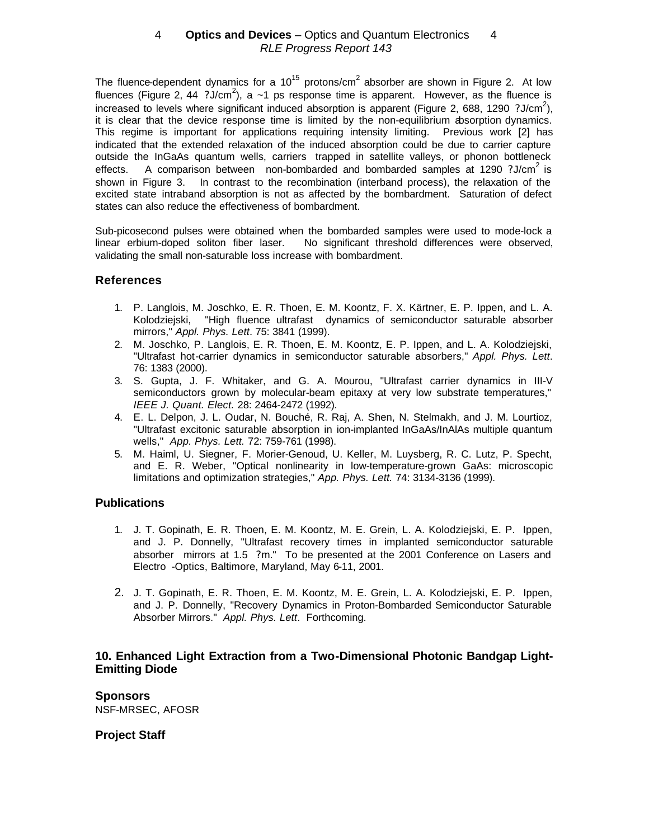The fluence-dependent dynamics for a 10<sup>15</sup> protons/cm<sup>2</sup> absorber are shown in Figure 2. At low fluences (Figure 2, 44 ?J/cm<sup>2</sup>), a ~1 ps response time is apparent. However, as the fluence is increased to levels where significant induced absorption is apparent (Figure 2, 688, 1290 ?J/cm<sup>2</sup>), it is clear that the device response time is limited by the non-equilibrium absorption dynamics. This regime is important for applications requiring intensity limiting. Previous work [2] has indicated that the extended relaxation of the induced absorption could be due to carrier capture outside the InGaAs quantum wells, carriers trapped in satellite valleys, or phonon bottleneck effects. A comparison between non-bombarded and bombarded samples at 1290 ?J/cm<sup>2</sup> is shown in Figure 3. In contrast to the recombination (interband process), the relaxation of the excited state intraband absorption is not as affected by the bombardment. Saturation of defect states can also reduce the effectiveness of bombardment.

Sub-picosecond pulses were obtained when the bombarded samples were used to mode-lock a linear erbium-doped soliton fiber laser. No significant threshold differences were observed, validating the small non-saturable loss increase with bombardment.

# **References**

- 1. P. Langlois, M. Joschko, E. R. Thoen, E. M. Koontz, F. X. Kärtner, E. P. Ippen, and L. A. Kolodziejski, "High fluence ultrafast dynamics of semiconductor saturable absorber mirrors," *Appl. Phys. Lett*. 75: 3841 (1999).
- 2. M. Joschko, P. Langlois, E. R. Thoen, E. M. Koontz, E. P. Ippen, and L. A. Kolodziejski, "Ultrafast hot-carrier dynamics in semiconductor saturable absorbers," *Appl. Phys. Lett*. 76: 1383 (2000).
- 3. S. Gupta, J. F. Whitaker, and G. A. Mourou, "Ultrafast carrier dynamics in III-V semiconductors grown by molecular-beam epitaxy at very low substrate temperatures," *IEEE J. Quant. Elect.* 28: 2464-2472 (1992).
- 4. E. L. Delpon, J. L. Oudar, N. Bouché, R. Raj, A. Shen, N. Stelmakh, and J. M. Lourtioz, "Ultrafast excitonic saturable absorption in ion-implanted InGaAs/InAlAs multiple quantum wells," *App. Phys. Lett.* 72: 759-761 (1998).
- 5. M. Haiml, U. Siegner, F. Morier-Genoud, U. Keller, M. Luysberg, R. C. Lutz, P. Specht, and E. R. Weber, "Optical nonlinearity in low-temperature-grown GaAs: microscopic limitations and optimization strategies," *App. Phys. Lett.* 74: 3134-3136 (1999).

# **Publications**

- 1. J. T. Gopinath, E. R. Thoen, E. M. Koontz, M. E. Grein, L. A. Kolodziejski, E. P. Ippen, and J. P. Donnelly, "Ultrafast recovery times in implanted semiconductor saturable absorber mirrors at 1.5 ?m." To be presented at the 2001 Conference on Lasers and Electro -Optics, Baltimore, Maryland, May 6-11, 2001.
- 2. J. T. Gopinath, E. R. Thoen, E. M. Koontz, M. E. Grein, L. A. Kolodziejski, E. P. Ippen, and J. P. Donnelly, "Recovery Dynamics in Proton-Bombarded Semiconductor Saturable Absorber Mirrors." *Appl. Phys. Lett*. Forthcoming.

# **10. Enhanced Light Extraction from a Two-Dimensional Photonic Bandgap Light-Emitting Diode**

**Sponsors** NSF-MRSEC, AFOSR

# **Project Staff**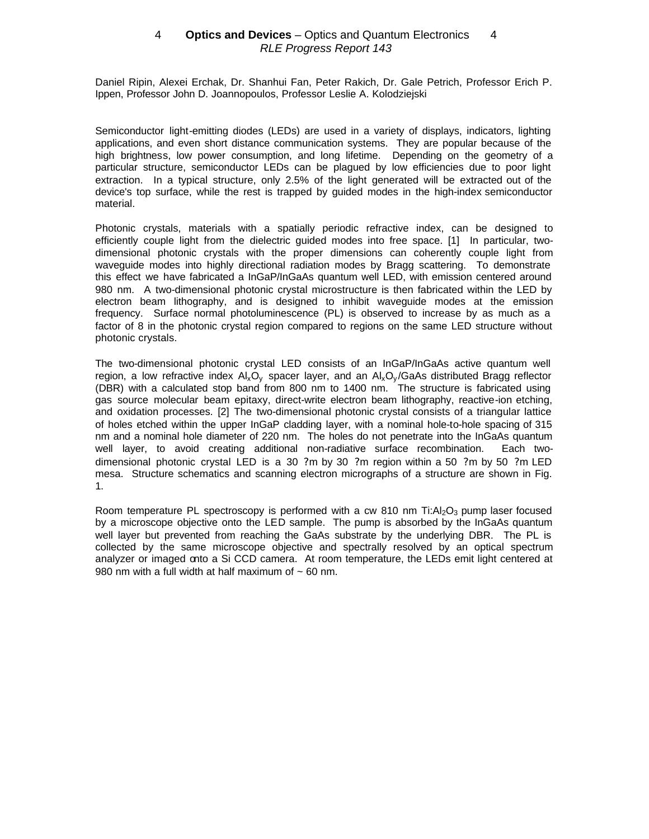Daniel Ripin, Alexei Erchak, Dr. Shanhui Fan, Peter Rakich, Dr. Gale Petrich, Professor Erich P. Ippen, Professor John D. Joannopoulos, Professor Leslie A. Kolodziejski

Semiconductor light-emitting diodes (LEDs) are used in a variety of displays, indicators, lighting applications, and even short distance communication systems. They are popular because of the high brightness, low power consumption, and long lifetime. Depending on the geometry of a particular structure, semiconductor LEDs can be plagued by low efficiencies due to poor light extraction. In a typical structure, only 2.5% of the light generated will be extracted out of the device's top surface, while the rest is trapped by guided modes in the high-index semiconductor material.

Photonic crystals, materials with a spatially periodic refractive index, can be designed to efficiently couple light from the dielectric guided modes into free space. [1] In particular, twodimensional photonic crystals with the proper dimensions can coherently couple light from waveguide modes into highly directional radiation modes by Bragg scattering. To demonstrate this effect we have fabricated a InGaP/InGaAs quantum well LED, with emission centered around 980 nm. A two-dimensional photonic crystal microstructure is then fabricated within the LED by electron beam lithography, and is designed to inhibit waveguide modes at the emission frequency. Surface normal photoluminescence (PL) is observed to increase by as much as a factor of 8 in the photonic crystal region compared to regions on the same LED structure without photonic crystals.

The two-dimensional photonic crystal LED consists of an InGaP/InGaAs active quantum well region, a low refractive index  $A\bar{x}O_y$  spacer layer, and an  $A\bar{x}O_y/GaAs$  distributed Bragg reflector (DBR) with a calculated stop band from 800 nm to 1400 nm. The structure is fabricated using gas source molecular beam epitaxy, direct-write electron beam lithography, reactive-ion etching, and oxidation processes. [2] The two-dimensional photonic crystal consists of a triangular lattice of holes etched within the upper InGaP cladding layer, with a nominal hole-to-hole spacing of 315 nm and a nominal hole diameter of 220 nm. The holes do not penetrate into the InGaAs quantum well layer, to avoid creating additional non-radiative surface recombination. Each twodimensional photonic crystal LED is a 30 ?m by 30 ?m region within a 50 ?m by 50 ?m LED mesa. Structure schematics and scanning electron micrographs of a structure are shown in Fig. 1.

Room temperature PL spectroscopy is performed with a cw 810 nm  $Ti:Al<sub>2</sub>O<sub>3</sub>$  pump laser focused by a microscope objective onto the LED sample. The pump is absorbed by the InGaAs quantum well layer but prevented from reaching the GaAs substrate by the underlying DBR. The PL is collected by the same microscope objective and spectrally resolved by an optical spectrum analyzer or imaged onto a Si CCD camera. At room temperature, the LEDs emit light centered at 980 nm with a full width at half maximum of  $\sim 60$  nm.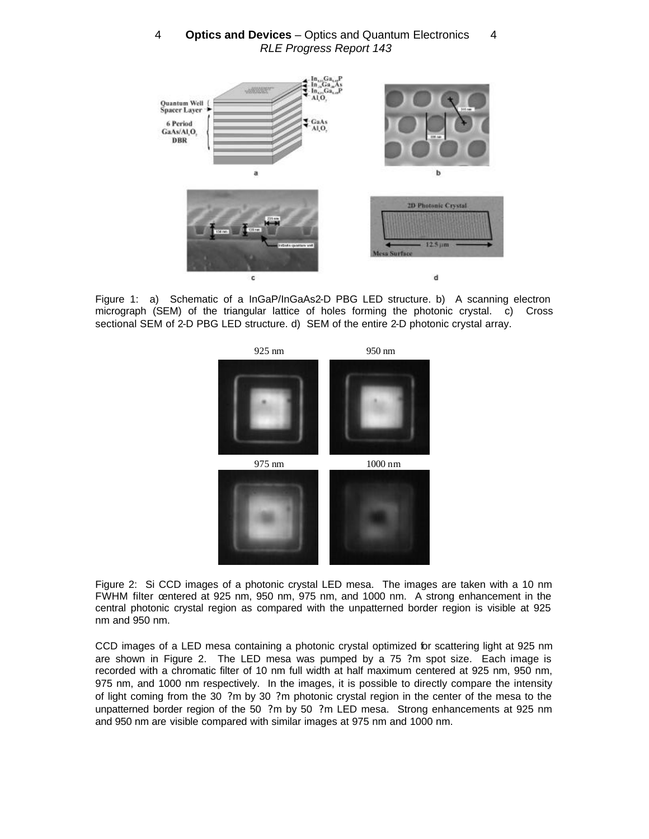

Figure 1: a) Schematic of a InGaP/InGaAs2-D PBG LED structure. b) A scanning electron micrograph (SEM) of the triangular lattice of holes forming the photonic crystal. c) Cross sectional SEM of 2-D PBG LED structure. d) SEM of the entire 2-D photonic crystal array.



Figure 2: Si CCD images of a photonic crystal LED mesa. The images are taken with a 10 nm FWHM filter centered at 925 nm, 950 nm, 975 nm, and 1000 nm. A strong enhancement in the central photonic crystal region as compared with the unpatterned border region is visible at 925 nm and 950 nm.

CCD images of a LED mesa containing a photonic crystal optimized for scattering light at 925 nm are shown in Figure 2. The LED mesa was pumped by a 75 ?m spot size. Each image is recorded with a chromatic filter of 10 nm full width at half maximum centered at 925 nm, 950 nm, 975 nm, and 1000 nm respectively. In the images, it is possible to directly compare the intensity of light coming from the 30 ?m by 30 ?m photonic crystal region in the center of the mesa to the unpatterned border region of the 50 ?m by 50 ?m LED mesa. Strong enhancements at 925 nm and 950 nm are visible compared with similar images at 975 nm and 1000 nm.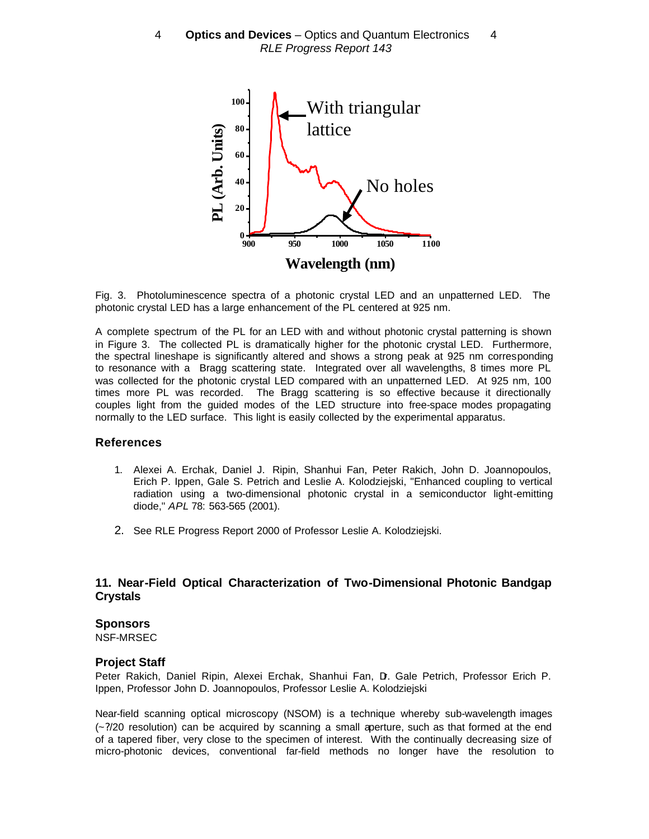

Fig. 3. Photoluminescence spectra of a photonic crystal LED and an unpatterned LED. The photonic crystal LED has a large enhancement of the PL centered at 925 nm.

A complete spectrum of the PL for an LED with and without photonic crystal patterning is shown in Figure 3. The collected PL is dramatically higher for the photonic crystal LED. Furthermore, the spectral lineshape is significantly altered and shows a strong peak at 925 nm corresponding to resonance with a Bragg scattering state. Integrated over all wavelengths, 8 times more PL was collected for the photonic crystal LED compared with an unpatterned LED. At 925 nm, 100 times more PL was recorded. The Bragg scattering is so effective because it directionally couples light from the guided modes of the LED structure into free-space modes propagating normally to the LED surface. This light is easily collected by the experimental apparatus.

#### **References**

- 1. Alexei A. Erchak, Daniel J. Ripin, Shanhui Fan, Peter Rakich, John D. Joannopoulos, Erich P. Ippen, Gale S. Petrich and Leslie A. Kolodziejski, "Enhanced coupling to vertical radiation using a two-dimensional photonic crystal in a semiconductor light-emitting diode," *APL* 78: 563-565 (2001).
- 2. See RLE Progress Report 2000 of Professor Leslie A. Kolodziejski.

### **11. Near-Field Optical Characterization of Two-Dimensional Photonic Bandgap Crystals**

#### **Sponsors**

NSF-MRSEC

### **Project Staff**

Peter Rakich, Daniel Ripin, Alexei Erchak, Shanhui Fan, D. Gale Petrich, Professor Erich P. Ippen, Professor John D. Joannopoulos, Professor Leslie A. Kolodziejski

Near-field scanning optical microscopy (NSOM) is a technique whereby sub-wavelength images  $\left(-\frac{2}{2}\right)$  resolution) can be acquired by scanning a small aperture, such as that formed at the end of a tapered fiber, very close to the specimen of interest. With the continually decreasing size of micro-photonic devices, conventional far-field methods no longer have the resolution to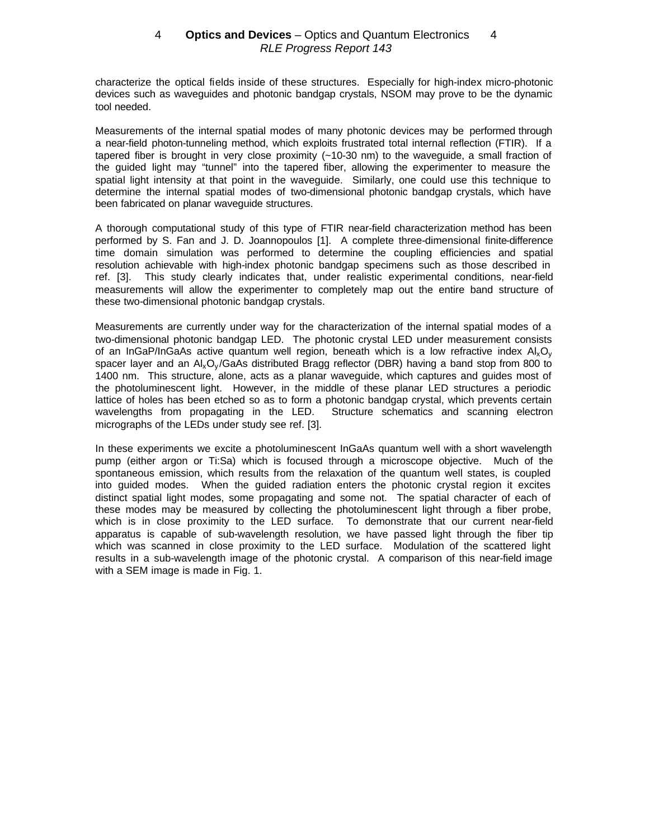characterize the optical fields inside of these structures. Especially for high-index micro-photonic devices such as waveguides and photonic bandgap crystals, NSOM may prove to be the dynamic tool needed.

Measurements of the internal spatial modes of many photonic devices may be performed through a near-field photon-tunneling method, which exploits frustrated total internal reflection (FTIR). If a tapered fiber is brought in very close proximity (~10-30 nm) to the waveguide, a small fraction of the guided light may "tunnel" into the tapered fiber, allowing the experimenter to measure the spatial light intensity at that point in the waveguide. Similarly, one could use this technique to determine the internal spatial modes of two-dimensional photonic bandgap crystals, which have been fabricated on planar waveguide structures.

A thorough computational study of this type of FTIR near-field characterization method has been performed by S. Fan and J. D. Joannopoulos [1]. A complete three-dimensional finite-difference time domain simulation was performed to determine the coupling efficiencies and spatial resolution achievable with high-index photonic bandgap specimens such as those described in ref. [3]. This study clearly indicates that, under realistic experimental conditions, near-field measurements will allow the experimenter to completely map out the entire band structure of these two-dimensional photonic bandgap crystals.

Measurements are currently under way for the characterization of the internal spatial modes of a two-dimensional photonic bandgap LED. The photonic crystal LED under measurement consists of an InGaP/InGaAs active quantum well region, beneath which is a low refractive index  $Al_xO_y$ spacer layer and an  $A\&S_V/GaAs$  distributed Bragg reflector (DBR) having a band stop from 800 to 1400 nm. This structure, alone, acts as a planar waveguide, which captures and guides most of the photoluminescent light. However, in the middle of these planar LED structures a periodic lattice of holes has been etched so as to form a photonic bandgap crystal, which prevents certain wavelengths from propagating in the LED. Structure schematics and scanning electron micrographs of the LEDs under study see ref. [3].

In these experiments we excite a photoluminescent InGaAs quantum well with a short wavelength pump (either argon or Ti:Sa) which is focused through a microscope objective. Much of the spontaneous emission, which results from the relaxation of the quantum well states, is coupled into guided modes. When the guided radiation enters the photonic crystal region it excites distinct spatial light modes, some propagating and some not. The spatial character of each of these modes may be measured by collecting the photoluminescent light through a fiber probe, which is in close proximity to the LED surface. To demonstrate that our current near-field apparatus is capable of sub-wavelength resolution, we have passed light through the fiber tip which was scanned in close proximity to the LED surface. Modulation of the scattered light results in a sub-wavelength image of the photonic crystal. A comparison of this near-field image with a SEM image is made in Fig. 1.